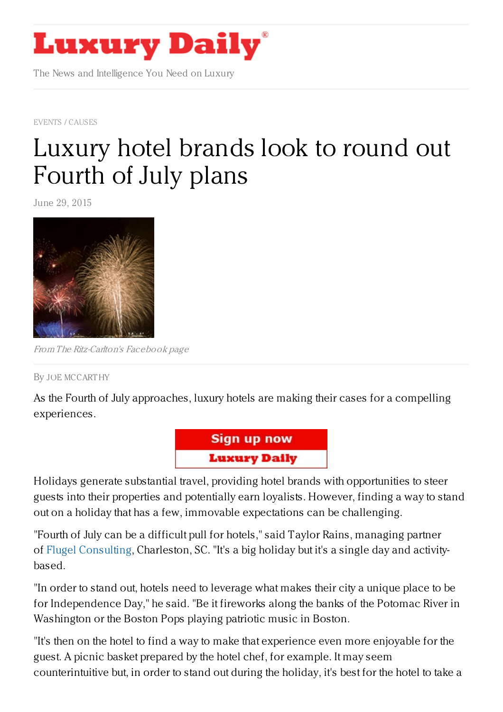

The News and Intelligence You Need on Luxury

EVENTS / [CAUSES](https://www.luxurydaily.com/category/news/events/)

## [Luxury](https://www.luxurydaily.com/luxury-hotel-brands-look-to-round-out-fourth-of-july-plans/) hotel brands look to round out Fourth of July plans

June 29, 2015



From The Ritz-Carlton's Facebook page

## By JOE [MCCART](/author/joe-mccarthy) HY

As the Fourth of July approaches, luxury hotels are making their cases for a compelling experiences.



Holidays generate substantial travel, providing hotel brands with opportunities to steer guests into their properties and potentially earn loyalists. However, finding a way to stand out on a holiday that has a few, immovable expectations can be challenging.

"Fourth of July can be a difficult pull for hotels," said Taylor Rains, managing partner of Flugel [Consulting](http://www.flugelconsulting.com/), Charleston, SC. "It's a big holiday but it's a single day and activitybased.

"In order to stand out, hotels need to leverage what makes their city a unique place to be for Independence Day," he said. "Be it fireworks along the banks of the Potomac River in Washington or the Boston Pops playing patriotic music in Boston.

"It's then on the hotel to find a way to make that experience even more enjoyable for the guest. A picnic basket prepared by the hotel chef, for example. It may seem counterintuitive but, in order to stand out during the holiday, it's best for the hotel to take a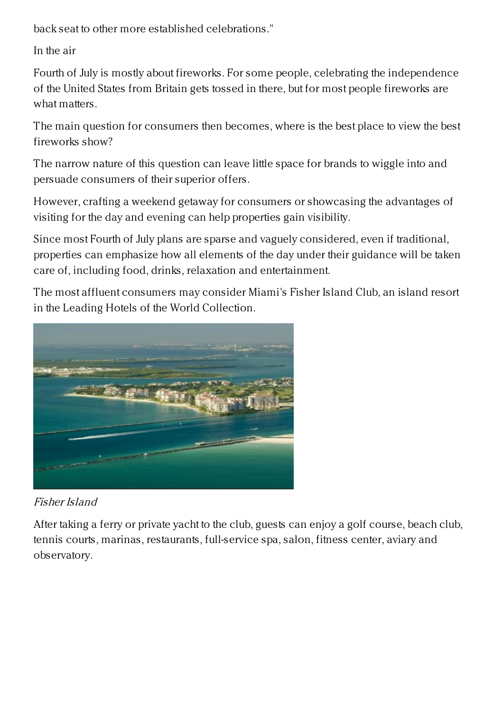back seat to other more established celebrations."

In the air

Fourth of July is mostly about fireworks. For some people, celebrating the independence of the United States from Britain gets tossed in there, but for most people fireworks are what matters.

The main question for consumers then becomes, where is the best place to view the best fireworks show?

The narrow nature of this question can leave little space for brands to wiggle into and persuade consumers of their superior offers.

However, crafting a weekend getaway for consumers or showcasing the advantages of visiting for the day and evening can help properties gain visibility.

Since most Fourth of July plans are sparse and vaguely considered, even if traditional, properties can emphasize how all elements of the day under their guidance will be taken care of, including food, drinks, relaxation and entertainment.

The most affluent consumers may consider Miami's Fisher Island Club, an island resort in the Leading Hotels of the World Collection.



Fisher Island

After taking a ferry or private yacht to the club, guests can enjoy a golf course, beach club, tennis courts, marinas, restaurants, full-service spa, salon, fitness center, aviary and observatory.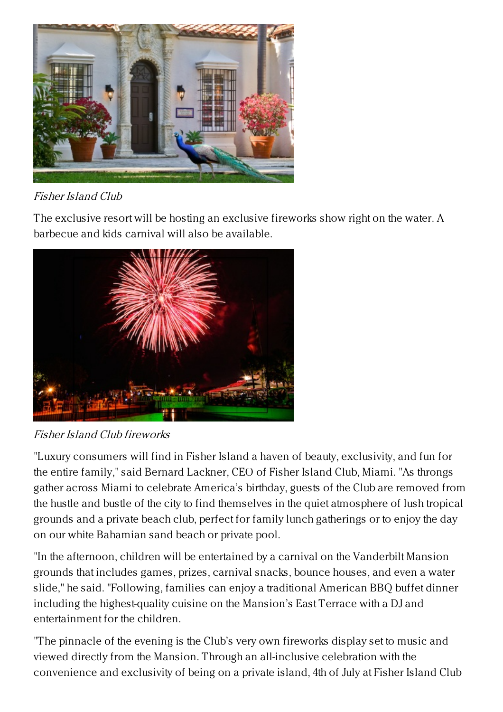

Fisher Island Club

The exclusive resort will be hosting an exclusive fireworks show right on the water. A barbecue and kids carnival will also be available.



Fisher Island Club fireworks

"Luxury consumers will find in Fisher Island a haven of beauty, exclusivity, and fun for the entire family," said Bernard Lackner, CEO of Fisher Island Club, Miami. "As throngs gather across Miami to celebrate America's birthday, guests of the Club are removed from the hustle and bustle of the city to find themselves in the quiet atmosphere of lush tropical grounds and a private beach club, perfect for family lunch gatherings or to enjoy the day on our white Bahamian sand beach or private pool.

"In the afternoon, children will be entertained by a carnival on the Vanderbilt Mansion grounds that includes games, prizes, carnival snacks, bounce houses, and even a water slide," he said. "Following, families can enjoy a traditional American BBQ buffet dinner including the highest-quality cuisine on the Mansion's East Terrace with a DJ and entertainment for the children.

"The pinnacle of the evening is the Club's very own fireworks display set to music and viewed directly from the Mansion. Through an all-inclusive celebration with the convenience and exclusivity of being on a private island, 4th of July at Fisher Island Club